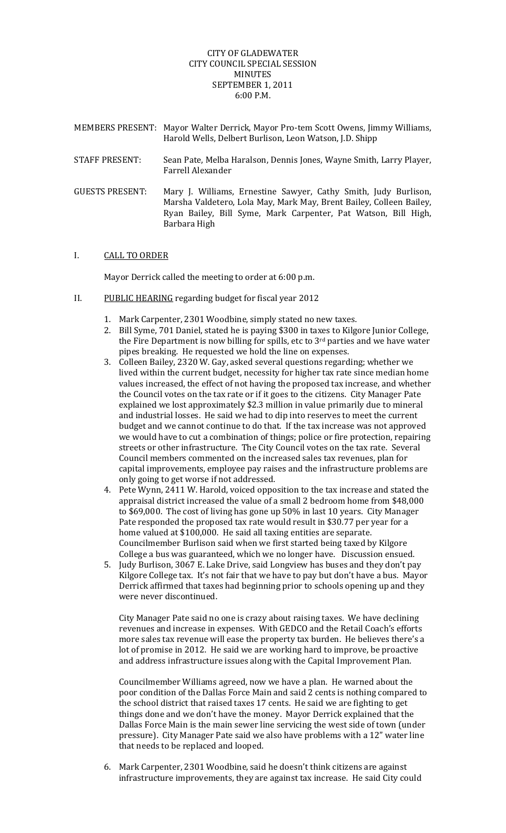## CITY OF GLADEWATER CITY COUNCIL SPECIAL SESSION MINUTES SEPTEMBER 1, 2011 6:00 P.M.

MEMBERS PRESENT: Mayor Walter Derrick, Mayor Pro‐tem Scott Owens, Jimmy Williams, Harold Wells, Delbert Burlison, Leon Watson, J.D. Shipp STAFF PRESENT: Sean Pate, Melba Haralson, Dennis Jones, Wayne Smith, Larry Player, Farrell Alexander GUESTS PRESENT: Mary J. Williams, Ernestine Sawyer, Cathy Smith, Judy Burlison, Marsha Valdetero, Lola May, Mark May, Brent Bailey, Colleen Bailey,

Ryan Bailey, Bill Syme, Mark Carpenter, Pat Watson, Bill High,

## I. CALL TO ORDER

Mayor Derrick called the meeting to order at 6:00 p.m.

II. PUBLIC HEARING regarding budget for fiscal year 2012

Barbara High

- 1. Mark Carpenter, 2301 Woodbine, simply stated no new taxes.
- 2. Bill Syme, 701 Daniel, stated he is paying \$300 in taxes to Kilgore Junior College, the Fire Department is now billing for spills, etc to  $3<sup>rd</sup>$  parties and we have water pipes breaking. He requested we hold the line on expenses.
- 3. Colleen Bailey, 2320 W. Gay, asked several questions regarding; whether we lived within the current budget, necessity for higher tax rate since median home values increased, the effect of not having the proposed tax increase, and whether the Council votes on the tax rate or if it goes to the citizens. City Manager Pate explained we lost approximately \$2.3 million in value primarily due to mineral and industrial losses. He said we had to dip into reserves to meet the current budget and we cannot continue to do that. If the tax increase was not approved we would have to cut a combination of things; police or fire protection, repairing streets or other infrastructure. The City Council votes on the tax rate. Several Council members commented on the increased sales tax revenues, plan for capital improvements, employee pay raises and the infrastructure problems are only going to get worse if not addressed.
- 4. Pete Wynn, 2411 W. Harold, voiced opposition to the tax increase and stated the appraisal district increased the value of a small 2 bedroom home from \$48,000 to \$69,000. The cost of living has gone up 50% in last 10 years. City Manager Pate responded the proposed tax rate would result in \$30.77 per year for a home valued at \$100,000. He said all taxing entities are separate. Councilmember Burlison said when we first started being taxed by Kilgore College a bus was guaranteed, which we no longer have. Discussion ensued.
- 5. Judy Burlison, 3067 E. Lake Drive, said Longview has buses and they don't pay Kilgore College tax. It's not fair that we have to pay but don't have a bus. Mayor Derrick affirmed that taxes had beginning prior to schools opening up and they were never discontinued.

City Manager Pate said no one is crazy about raising taxes. We have declining revenues and increase in expenses. With GEDCO and the Retail Coach's efforts more sales tax revenue will ease the property tax burden. He believes there's a lot of promise in 2012. He said we are working hard to improve, be proactive and address infrastructure issues along with the Capital Improvement Plan.

Councilmember Williams agreed, now we have a plan. He warned about the poor condition of the Dallas Force Main and said 2 cents is nothing compared to the school district that raised taxes 17 cents. He said we are fighting to get things done and we don't have the money. Mayor Derrick explained that the Dallas Force Main is the main sewer line servicing the west side of town (under pressure). City Manager Pate said we also have problems with a 12" water line that needs to be replaced and looped.

6. Mark Carpenter, 2301 Woodbine, said he doesn't think citizens are against infrastructure improvements, they are against tax increase. He said City could